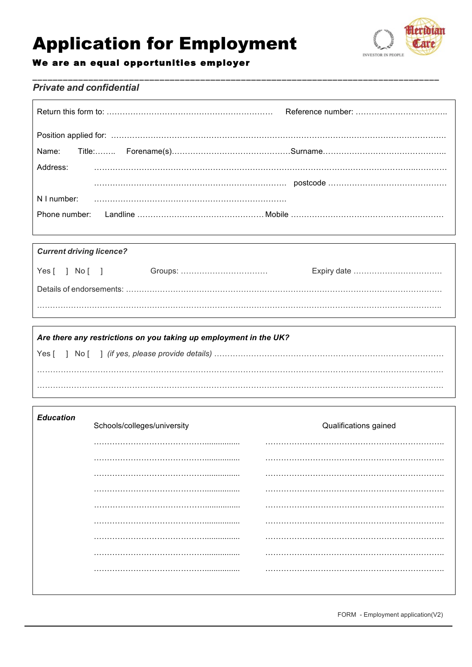# **Application for Employment**



## We are an equal opportunities employer

### **Private and confidential**

| Address: |  |
|----------|--|
|          |  |
|          |  |
|          |  |

## **Current driving licence?**  $Yes [ ] No [ ]$

| Are there any restrictions on you taking up employment in the UK? |  |  |  |  |
|-------------------------------------------------------------------|--|--|--|--|
|                                                                   |  |  |  |  |
|                                                                   |  |  |  |  |
|                                                                   |  |  |  |  |

| <b>Education</b> | Schools/colleges/university | Qualifications gained |
|------------------|-----------------------------|-----------------------|
|                  |                             |                       |
|                  |                             |                       |
|                  |                             |                       |
|                  |                             |                       |
|                  |                             |                       |
|                  |                             |                       |
|                  |                             |                       |
|                  |                             |                       |
|                  |                             |                       |
|                  |                             |                       |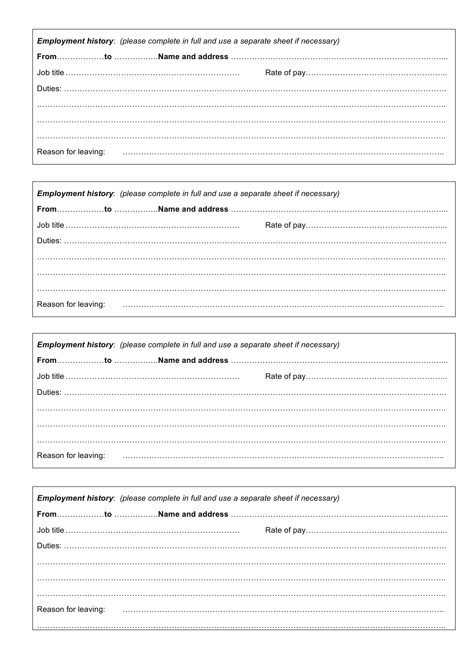| Employment history: (please complete in full and use a separate sheet if necessary) |  |                                                                                                                                                                                                                                |  |  |
|-------------------------------------------------------------------------------------|--|--------------------------------------------------------------------------------------------------------------------------------------------------------------------------------------------------------------------------------|--|--|
|                                                                                     |  |                                                                                                                                                                                                                                |  |  |
|                                                                                     |  |                                                                                                                                                                                                                                |  |  |
|                                                                                     |  |                                                                                                                                                                                                                                |  |  |
|                                                                                     |  |                                                                                                                                                                                                                                |  |  |
|                                                                                     |  |                                                                                                                                                                                                                                |  |  |
|                                                                                     |  |                                                                                                                                                                                                                                |  |  |
|                                                                                     |  | Reason for leaving: The Committee Committee Committee Committee Committee Committee Committee Committee Committee Committee Committee Committee Committee Committee Committee Committee Committee Committee Committee Committe |  |  |

| <b>Employment history:</b> (please complete in full and use a separate sheet if necessary) |  |  |  |
|--------------------------------------------------------------------------------------------|--|--|--|
|                                                                                            |  |  |  |
|                                                                                            |  |  |  |
|                                                                                            |  |  |  |
|                                                                                            |  |  |  |
|                                                                                            |  |  |  |
|                                                                                            |  |  |  |
| Reason for leaving:                                                                        |  |  |  |

| <b>Employment history:</b> (please complete in full and use a separate sheet if necessary) |  |  |  |
|--------------------------------------------------------------------------------------------|--|--|--|
|                                                                                            |  |  |  |
|                                                                                            |  |  |  |
|                                                                                            |  |  |  |
|                                                                                            |  |  |  |
|                                                                                            |  |  |  |
|                                                                                            |  |  |  |
| Reason for leaving:                                                                        |  |  |  |

| Employment history: (please complete in full and use a separate sheet if necessary) |                                                                                                                                                                                                                                |  |  |
|-------------------------------------------------------------------------------------|--------------------------------------------------------------------------------------------------------------------------------------------------------------------------------------------------------------------------------|--|--|
|                                                                                     |                                                                                                                                                                                                                                |  |  |
|                                                                                     |                                                                                                                                                                                                                                |  |  |
|                                                                                     |                                                                                                                                                                                                                                |  |  |
|                                                                                     |                                                                                                                                                                                                                                |  |  |
|                                                                                     |                                                                                                                                                                                                                                |  |  |
|                                                                                     |                                                                                                                                                                                                                                |  |  |
|                                                                                     | Reason for leaving: Fig. 2010. The Contract of Team and Team and Team and Team and Team and Team and Team and Team and Team and Team and Team and Team and Team and Team and Team and Team and Team and Team and Team and Team |  |  |
|                                                                                     |                                                                                                                                                                                                                                |  |  |

 $\mathsf{r}$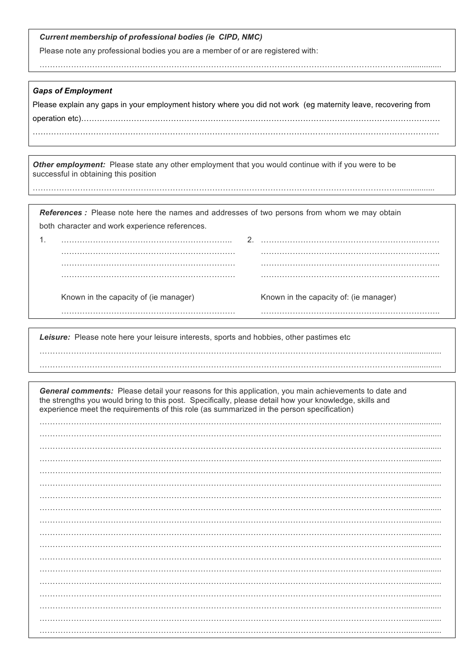| Current membership of professional bodies (ie CIPD, NMC) |  |  |  |  |  |  |
|----------------------------------------------------------|--|--|--|--|--|--|
|----------------------------------------------------------|--|--|--|--|--|--|

Please note any professional bodies you are a member of or are registered with:

………………………………………………………………………………………………………………………….................

#### *Gaps of Employment*

………………………………………………………………………………………………………………………….................

Please explain any gaps in your employment history where you did not work (eg maternity leave, recovering from operation etc)……………………………………………………………………………………………………………………….

……………………………………………………………………………………………………………………………………….

*Other employment:* Please state any other employment that you would continue with if you were to be successful in obtaining this position

**References**: Please note here the names and addresses of two persons from whom we may obtain both character and work experience references.

| Known in the capacity of (ie manager) | Known in the capacity of: (ie manager) |
|---------------------------------------|----------------------------------------|
|                                       |                                        |

………………………………………………………………………………………………………………………….................

*Leisure:* Please note here your leisure interests, sports and hobbies, other pastimes etc ………………………………………………………………………………………………………………………….................

*General comments:* Please detail your reasons for this application, you main achievements to date and the strengths you would bring to this post. Specifically, please detail how your knowledge, skills and experience meet the requirements of this role (as summarized in the person specification)

…………………………………………………………………………………………………………………………................. …………………………………………………………………………………………………………………………................. …………………………………………………………………………………………………………………………................. …………………………………………………………………………………………………………………………................. …………………………………………………………………………………………………………………………................. …………………………………………………………………………………………………………………………................. …………………………………………………………………………………………………………………………................. …………………………………………………………………………………………………………………………................. …………………………………………………………………………………………………………………………................. …………………………………………………………………………………………………………………………................. …………………………………………………………………………………………………………………………................. …………………………………………………………………………………………………………………………................. …………………………………………………………………………………………………………………………................. …………………………………………………………………………………………………………………………................. …………………………………………………………………………………………………………………………................. …………………………………………………………………………………………………………………………................. …………………………………………………………………………………………………………………………................. ………………………………………………………………………………………………………………………….................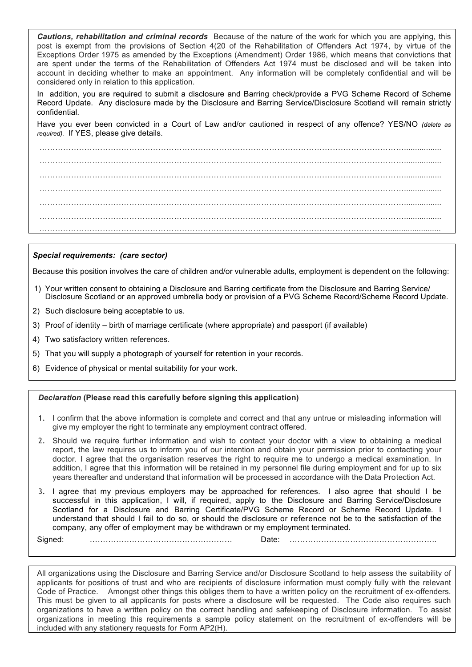*Cautions, rehabilitation and criminal records* Because of the nature of the work for which you are applying, this post is exempt from the provisions of Section 4(20 of the Rehabilitation of Offenders Act 1974, by virtue of the Exceptions Order 1975 as amended by the Exceptions (Amendment) Order 1986, which means that convictions that are spent under the terms of the Rehabilitation of Offenders Act 1974 must be disclosed and will be taken into account in deciding whether to make an appointment. Any information will be completely confidential and will be considered only in relation to this application.

In addition, you are required to submit a disclosure and Barring check/provide a PVG Scheme Record of Scheme Record Update. Any disclosure made by the Disclosure and Barring Service/Disclosure Scotland will remain strictly confidential.

Have you ever been convicted in a Court of Law and/or cautioned in respect of any offence? YES/NO *(delete as required).* If YES, please give details.

…………………………………………………………………………………………………………………………................. …………………………………………………………………………………………………………………………................. …………………………………………………………………………………………………………………………................. …………………………………………………………………………………………………………………………................. …………………………………………………………………………………………………………………………................. …………………………………………………………………………………………………………………………................. ……………………………………………………………………………………………………………………........................

#### *Special requirements: (care sector)*

Because this position involves the care of children and/or vulnerable adults, employment is dependent on the following:

- 1) Your written consent to obtaining a Disclosure and Barring certificate from the Disclosure and Barring Service/ Disclosure Scotland or an approved umbrella body or provision of a PVG Scheme Record/Scheme Record Update.
- 2) Such disclosure being acceptable to us.
- 3) Proof of identity birth of marriage certificate (where appropriate) and passport (if available)
- 4) Two satisfactory written references.
- 5) That you will supply a photograph of yourself for retention in your records.
- 6) Evidence of physical or mental suitability for your work.

#### *Declaration* **(Please read this carefully before signing this application)**

- 1. I confirm that the above information is complete and correct and that any untrue or misleading information will give my employer the right to terminate any employment contract offered.
- 2. Should we require further information and wish to contact your doctor with a view to obtaining a medical report, the law requires us to inform you of our intention and obtain your permission prior to contacting your doctor. I agree that the organisation reserves the right to require me to undergo a medical examination. In addition, I agree that this information will be retained in my personnel file during employment and for up to six years thereafter and understand that information will be processed in accordance with the Data Protection Act.
- 3. I agree that my previous employers may be approached for references. I also agree that should I be successful in this application, I will, if required, apply to the Disclosure and Barring Service/Disclosure Scotland for a Disclosure and Barring Certificate/PVG Scheme Record or Scheme Record Update. I understand that should I fail to do so, or should the disclosure or reference not be to the satisfaction of the company, any offer of employment may be withdrawn or my employment terminated.

Signed: ……………………………………………… Date: ………………………………………………..

All organizations using the Disclosure and Barring Service and/or Disclosure Scotland to help assess the suitability of applicants for positions of trust and who are recipients of disclosure information must comply fully with the relevant Code of Practice. Amongst other things this obliges them to have a written policy on the recruitment of ex-offenders. This must be given to all applicants for posts where a disclosure will be requested. The Code also requires such organizations to have a written policy on the correct handling and safekeeping of Disclosure information. To assist organizations in meeting this requirements a sample policy statement on the recruitment of ex-offenders will be included with any stationery requests for Form AP2(H).